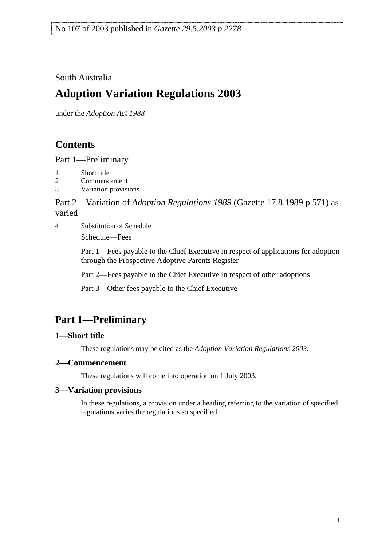South Australia

# **Adoption Variation Regulations 2003**

under the *Adoption Act 1988*

## **Contents**

Part 1—Preliminary

- 1 Short title
- 2 Commencement
- 3 Variation provisions

Part 2—Variation of *Adoption Regulations 1989* (Gazette 17.8.1989 p 571) as varied

4 Substitution of Schedule

Schedule—Fees

Part 1—Fees payable to the Chief Executive in respect of applications for adoption through the Prospective Adoptive Parents Register

Part 2—Fees payable to the Chief Executive in respect of other adoptions

Part 3—Other fees payable to the Chief Executive

# **Part 1—Preliminary**

### **1—Short title**

These regulations may be cited as the *Adoption Variation Regulations 2003*.

### **2—Commencement**

These regulations will come into operation on 1 July 2003.

### **3—Variation provisions**

In these regulations, a provision under a heading referring to the variation of specified regulations varies the regulations so specified.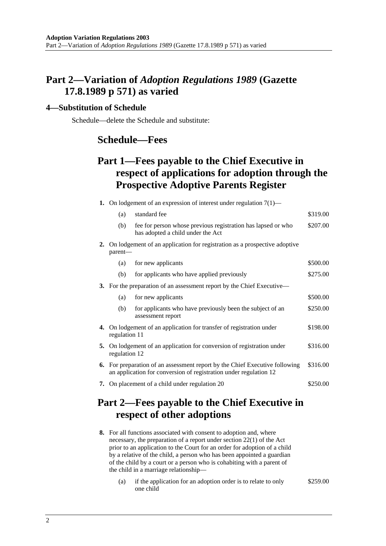### **Part 2—Variation of** *Adoption Regulations 1989* **(Gazette 17.8.1989 p 571) as varied**

#### **4—Substitution of Schedule**

Schedule—delete the Schedule and substitute:

### **Schedule—Fees**

## **Part 1—Fees payable to the Chief Executive in respect of applications for adoption through the Prospective Adoptive Parents Register**

|    | <b>1.</b> On lodgement of an expression of interest under regulation $7(1)$ —                                                                    |                                                                                                   |          |
|----|--------------------------------------------------------------------------------------------------------------------------------------------------|---------------------------------------------------------------------------------------------------|----------|
|    | (a)                                                                                                                                              | standard fee                                                                                      | \$319.00 |
|    | (b)                                                                                                                                              | fee for person whose previous registration has lapsed or who<br>has adopted a child under the Act | \$207.00 |
| 2. | On lodgement of an application for registration as a prospective adoptive<br>parent—                                                             |                                                                                                   |          |
|    | (a)                                                                                                                                              | for new applicants                                                                                | \$500.00 |
|    | (b)                                                                                                                                              | for applicants who have applied previously                                                        | \$275.00 |
|    | 3. For the preparation of an assessment report by the Chief Executive—                                                                           |                                                                                                   |          |
|    | (a)                                                                                                                                              | for new applicants                                                                                | \$500.00 |
|    | (b)                                                                                                                                              | for applicants who have previously been the subject of an<br>assessment report                    | \$250.00 |
|    | 4. On lodgement of an application for transfer of registration under<br>regulation 11                                                            |                                                                                                   | \$198.00 |
| 5. | On lodgement of an application for conversion of registration under<br>regulation 12                                                             |                                                                                                   | \$316.00 |
|    | 6. For preparation of an assessment report by the Chief Executive following<br>an application for conversion of registration under regulation 12 |                                                                                                   | \$316.00 |
| 7. | On placement of a child under regulation 20                                                                                                      |                                                                                                   | \$250.00 |
|    |                                                                                                                                                  |                                                                                                   |          |

### **Part 2—Fees payable to the Chief Executive in respect of other adoptions**

- **8.** For all functions associated with consent to adoption and, where necessary, the preparation of a report under section 22(1) of the Act prior to an application to the Court for an order for adoption of a child by a relative of the child, a person who has been appointed a guardian of the child by a court or a person who is cohabiting with a parent of the child in a marriage relationship—
	- (a) if the application for an adoption order is to relate to only one child \$259.00